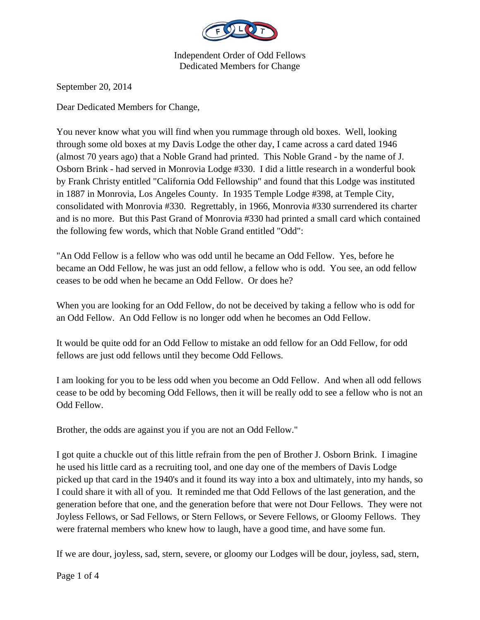

September 20, 2014

Dear Dedicated Members for Change,

You never know what you will find when you rummage through old boxes. Well, looking through some old boxes at my Davis Lodge the other day, I came across a card dated 1946 (almost 70 years ago) that a Noble Grand had printed. This Noble Grand - by the name of J. Osborn Brink - had served in Monrovia Lodge #330. I did a little research in a wonderful book by Frank Christy entitled "California Odd Fellowship" and found that this Lodge was instituted in 1887 in Monrovia, Los Angeles County. In 1935 Temple Lodge #398, at Temple City, consolidated with Monrovia #330. Regrettably, in 1966, Monrovia #330 surrendered its charter and is no more. But this Past Grand of Monrovia #330 had printed a small card which contained the following few words, which that Noble Grand entitled "Odd":

"An Odd Fellow is a fellow who was odd until he became an Odd Fellow. Yes, before he became an Odd Fellow, he was just an odd fellow, a fellow who is odd. You see, an odd fellow ceases to be odd when he became an Odd Fellow. Or does he?

When you are looking for an Odd Fellow, do not be deceived by taking a fellow who is odd for an Odd Fellow. An Odd Fellow is no longer odd when he becomes an Odd Fellow.

It would be quite odd for an Odd Fellow to mistake an odd fellow for an Odd Fellow, for odd fellows are just odd fellows until they become Odd Fellows.

I am looking for you to be less odd when you become an Odd Fellow. And when all odd fellows cease to be odd by becoming Odd Fellows, then it will be really odd to see a fellow who is not an Odd Fellow.

Brother, the odds are against you if you are not an Odd Fellow."

I got quite a chuckle out of this little refrain from the pen of Brother J. Osborn Brink. I imagine he used his little card as a recruiting tool, and one day one of the members of Davis Lodge picked up that card in the 1940's and it found its way into a box and ultimately, into my hands, so I could share it with all of you. It reminded me that Odd Fellows of the last generation, and the generation before that one, and the generation before that were not Dour Fellows. They were not Joyless Fellows, or Sad Fellows, or Stern Fellows, or Severe Fellows, or Gloomy Fellows. They were fraternal members who knew how to laugh, have a good time, and have some fun.

If we are dour, joyless, sad, stern, severe, or gloomy our Lodges will be dour, joyless, sad, stern,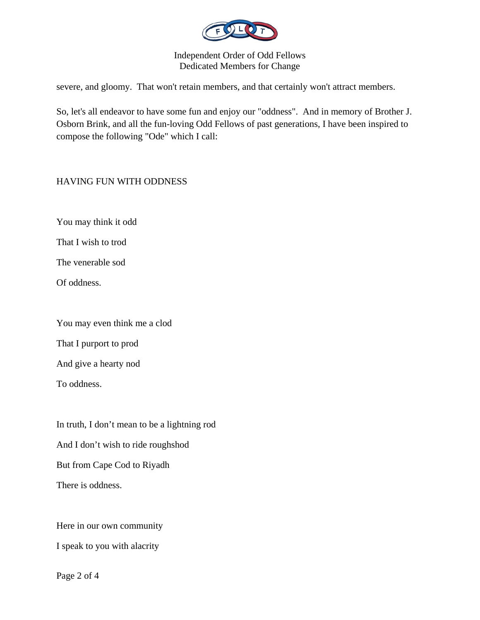

severe, and gloomy. That won't retain members, and that certainly won't attract members.

So, let's all endeavor to have some fun and enjoy our "oddness". And in memory of Brother J. Osborn Brink, and all the fun-loving Odd Fellows of past generations, I have been inspired to compose the following "Ode" which I call:

## HAVING FUN WITH ODDNESS

You may think it odd

That I wish to trod

The venerable sod

Of oddness.

You may even think me a clod

That I purport to prod

And give a hearty nod

To oddness.

In truth, I don't mean to be a lightning rod And I don't wish to ride roughshod But from Cape Cod to Riyadh There is oddness.

Here in our own community I speak to you with alacrity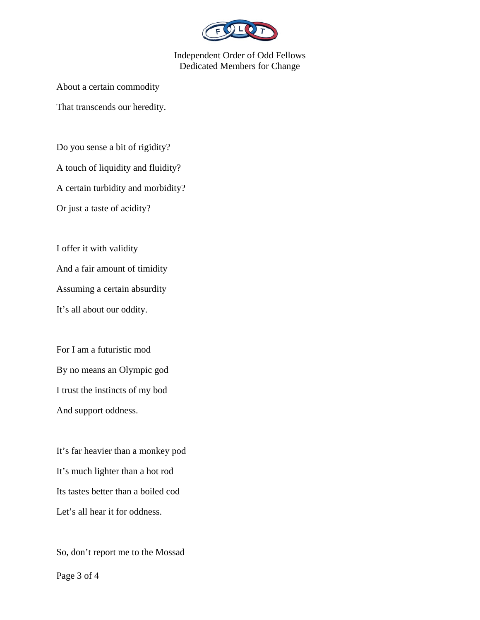

About a certain commodity

That transcends our heredity.

Do you sense a bit of rigidity? A touch of liquidity and fluidity? A certain turbidity and morbidity? Or just a taste of acidity?

I offer it with validity

And a fair amount of timidity

Assuming a certain absurdity

It's all about our oddity.

For I am a futuristic mod By no means an Olympic god I trust the instincts of my bod And support oddness.

It's far heavier than a monkey pod It's much lighter than a hot rod Its tastes better than a boiled cod Let's all hear it for oddness.

So, don't report me to the Mossad